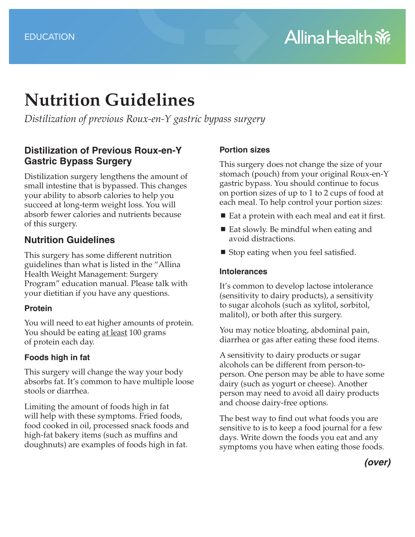# **Nutrition Guidelines**

*Distilization of previous Roux-en-Y gastric bypass surgery*

## **Distilization of Previous Roux-en-Y Gastric Bypass Surgery**

Distilization surgery lengthens the amount of small intestine that is bypassed. This changes your ability to absorb calories to help you succeed at long-term weight loss. You will absorb fewer calories and nutrients because of this surgery.

## **Nutrition Guidelines**

This surgery has some different nutrition guidelines than what is listed in the "Allina Health Weight Management: Surgery Program" education manual. Please talk with your dietitian if you have any questions.

#### **Protein**

You will need to eat higher amounts of protein. You should be eating at least 100 grams of protein each day.

### **Foods high in fat**

This surgery will change the way your body absorbs fat. It's common to have multiple loose stools or diarrhea.

Limiting the amount of foods high in fat will help with these symptoms. Fried foods, food cooked in oil, processed snack foods and high-fat bakery items (such as muffins and doughnuts) are examples of foods high in fat.

#### **Portion sizes**

This surgery does not change the size of your stomach (pouch) from your original Roux-en-Y gastric bypass. You should continue to focus on portion sizes of up to 1 to 2 cups of food at each meal. To help control your portion sizes:

- $\blacksquare$  Eat a protein with each meal and eat it first.
- Eat slowly. Be mindful when eating and avoid distractions.
- Stop eating when you feel satisfied.

#### **Intolerances**

It's common to develop lactose intolerance (sensitivity to dairy products), a sensitivity to sugar alcohols (such as xylitol, sorbitol, malitol), or both after this surgery.

You may notice bloating, abdominal pain, diarrhea or gas after eating these food items.

A sensitivity to dairy products or sugar alcohols can be different from person-toperson. One person may be able to have some dairy (such as yogurt or cheese). Another person may need to avoid all dairy products and choose dairy-free options.

The best way to find out what foods you are sensitive to is to keep a food journal for a few days. Write down the foods you eat and any symptoms you have when eating those foods.

*(over)*